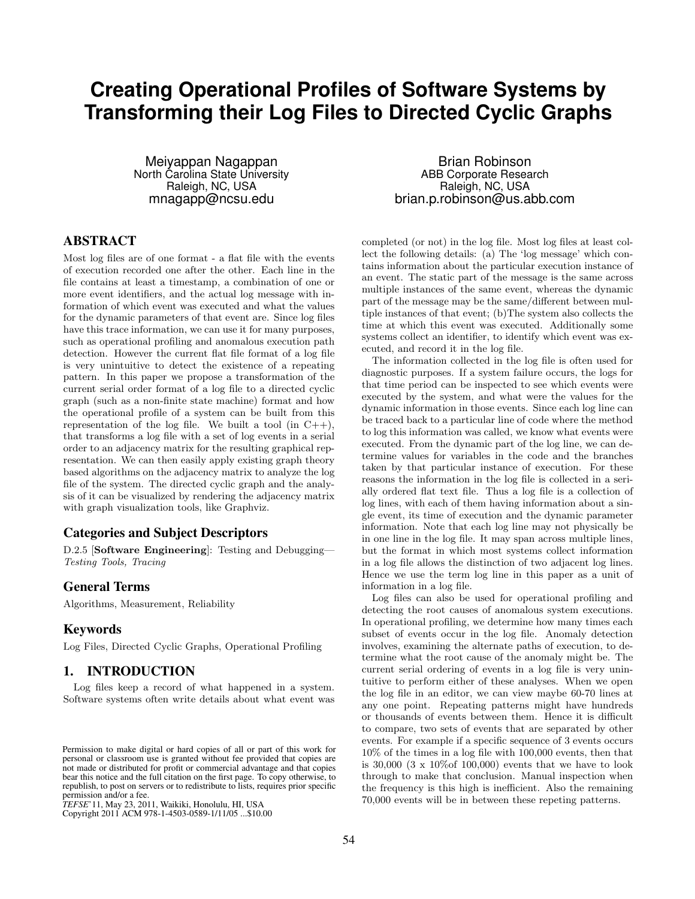# **Creating Operational Profiles of Software Systems by Transforming their Log Files to Directed Cyclic Graphs**

Meiyappan Nagappan North Carolina State University Raleigh, NC, USA mnagapp@ncsu.edu

# ABSTRACT

Most log files are of one format - a flat file with the events of execution recorded one after the other. Each line in the file contains at least a timestamp, a combination of one or more event identifiers, and the actual log message with information of which event was executed and what the values for the dynamic parameters of that event are. Since log files have this trace information, we can use it for many purposes, such as operational profiling and anomalous execution path detection. However the current flat file format of a log file is very unintuitive to detect the existence of a repeating pattern. In this paper we propose a transformation of the current serial order format of a log file to a directed cyclic graph (such as a non-finite state machine) format and how the operational profile of a system can be built from this representation of the log file. We built a tool (in  $C++$ ), that transforms a log file with a set of log events in a serial order to an adjacency matrix for the resulting graphical representation. We can then easily apply existing graph theory based algorithms on the adjacency matrix to analyze the log file of the system. The directed cyclic graph and the analysis of it can be visualized by rendering the adjacency matrix with graph visualization tools, like Graphviz.

#### Categories and Subject Descriptors

D.2.5 [Software Engineering]: Testing and Debugging— Testing Tools, Tracing

#### General Terms

Algorithms, Measurement, Reliability

## Keywords

Log Files, Directed Cyclic Graphs, Operational Profiling

# 1. INTRODUCTION

Log files keep a record of what happened in a system. Software systems often write details about what event was

Copyright 2011 ACM 978-1-4503-0589-1/11/05 ...\$10.00. Copyright 2011 ACM 978-1-4503-0589-1/11/05 ...\$10.00

Brian Robinson ABB Corporate Research Raleigh, NC, USA brian.p.robinson@us.abb.com

completed (or not) in the log file. Most log files at least collect the following details: (a) The 'log message' which contains information about the particular execution instance of an event. The static part of the message is the same across multiple instances of the same event, whereas the dynamic part of the message may be the same/different between multiple instances of that event; (b)The system also collects the time at which this event was executed. Additionally some systems collect an identifier, to identify which event was executed, and record it in the log file.

The information collected in the log file is often used for diagnostic purposes. If a system failure occurs, the logs for that time period can be inspected to see which events were executed by the system, and what were the values for the dynamic information in those events. Since each log line can be traced back to a particular line of code where the method to log this information was called, we know what events were executed. From the dynamic part of the log line, we can determine values for variables in the code and the branches taken by that particular instance of execution. For these reasons the information in the log file is collected in a serially ordered flat text file. Thus a log file is a collection of log lines, with each of them having information about a single event, its time of execution and the dynamic parameter information. Note that each log line may not physically be in one line in the log file. It may span across multiple lines, but the format in which most systems collect information in a log file allows the distinction of two adjacent log lines. Hence we use the term log line in this paper as a unit of information in a log file.

Log files can also be used for operational profiling and detecting the root causes of anomalous system executions. In operational profiling, we determine how many times each subset of events occur in the log file. Anomaly detection involves, examining the alternate paths of execution, to determine what the root cause of the anomaly might be. The current serial ordering of events in a log file is very unintuitive to perform either of these analyses. When we open the log file in an editor, we can view maybe 60-70 lines at any one point. Repeating patterns might have hundreds or thousands of events between them. Hence it is difficult to compare, two sets of events that are separated by other events. For example if a specific sequence of 3 events occurs 10% of the times in a log file with 100,000 events, then that is  $30,000$  (3 x  $10\%$  of 100,000) events that we have to look through to make that conclusion. Manual inspection when the frequency is this high is inefficient. Also the remaining Permission to make digital or hard copies of all or part of this work for<br>personal or classroom use is granted without fee provided that copies are<br>not made or distributed for profit or commercial advantage and that copie

Permission to make digital or hard copies of all or part of this work for permission to make digital or hard copies of all or part of this work for not made or distributed for profit or commercial advantage and that copies not made or distributed for profit or commercial advantage and that copies bear this notice and the full citation on the first page. To copy otherwise, to bear this notice and the full citation on the first page. To copy otherwise, to republish, to post on servers or to redistribute to lists, requires prior specific republish, to post on servers or to redistribute to lists, requires prior specific permission and/or a fee. personal or classroom use is granted without fee provided that copies are

*TEFSE* '11, May 23, 2011, Waikiki, Honolulu, HI, USA permission and/or a fee. *TEFSE*'11, May 23, 2011, Waikiki, Honolulu, HI, USA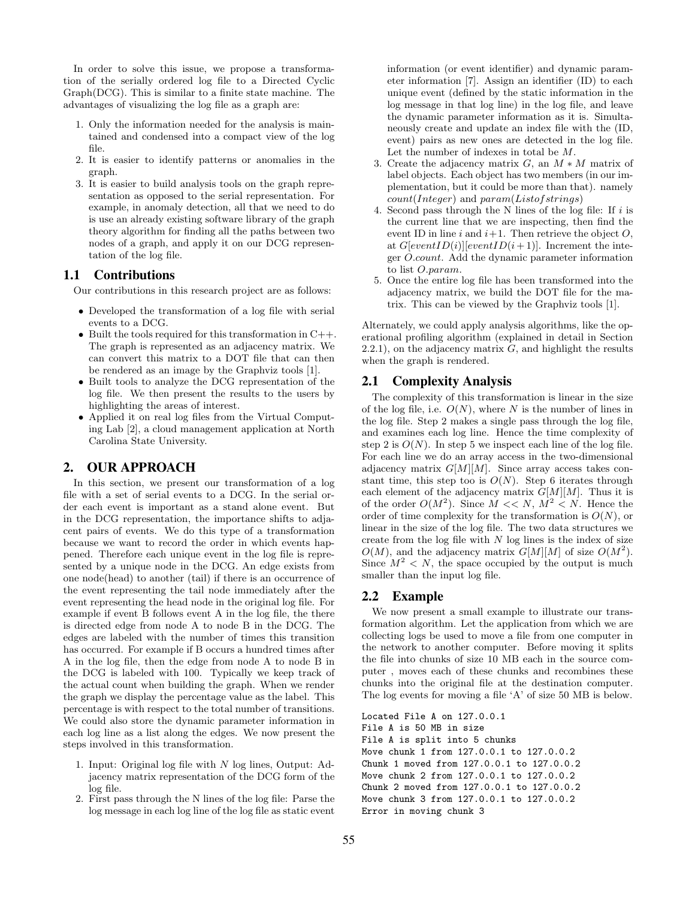In order to solve this issue, we propose a transformation of the serially ordered log file to a Directed Cyclic Graph(DCG). This is similar to a finite state machine. The advantages of visualizing the log file as a graph are:

- 1. Only the information needed for the analysis is maintained and condensed into a compact view of the log file.
- 2. It is easier to identify patterns or anomalies in the graph.
- 3. It is easier to build analysis tools on the graph representation as opposed to the serial representation. For example, in anomaly detection, all that we need to do is use an already existing software library of the graph theory algorithm for finding all the paths between two nodes of a graph, and apply it on our DCG representation of the log file.

#### 1.1 Contributions

Our contributions in this research project are as follows:

- Developed the transformation of a log file with serial events to a DCG.
- Built the tools required for this transformation in  $C++$ . The graph is represented as an adjacency matrix. We can convert this matrix to a DOT file that can then be rendered as an image by the Graphviz tools [1].
- Built tools to analyze the DCG representation of the log file. We then present the results to the users by highlighting the areas of interest.
- Applied it on real log files from the Virtual Computing Lab [2], a cloud management application at North Carolina State University.

# 2. OUR APPROACH

In this section, we present our transformation of a log file with a set of serial events to a DCG. In the serial order each event is important as a stand alone event. But in the DCG representation, the importance shifts to adjacent pairs of events. We do this type of a transformation because we want to record the order in which events happened. Therefore each unique event in the log file is represented by a unique node in the DCG. An edge exists from one node(head) to another (tail) if there is an occurrence of the event representing the tail node immediately after the event representing the head node in the original log file. For example if event B follows event A in the log file, the there is directed edge from node A to node B in the DCG. The edges are labeled with the number of times this transition has occurred. For example if B occurs a hundred times after A in the log file, then the edge from node A to node B in the DCG is labeled with 100. Typically we keep track of the actual count when building the graph. When we render the graph we display the percentage value as the label. This percentage is with respect to the total number of transitions. We could also store the dynamic parameter information in each log line as a list along the edges. We now present the steps involved in this transformation.

- 1. Input: Original log file with N log lines, Output: Adjacency matrix representation of the DCG form of the log file.
- 2. First pass through the N lines of the log file: Parse the log message in each log line of the log file as static event

information (or event identifier) and dynamic parameter information [7]. Assign an identifier (ID) to each unique event (defined by the static information in the log message in that log line) in the log file, and leave the dynamic parameter information as it is. Simultaneously create and update an index file with the (ID, event) pairs as new ones are detected in the log file. Let the number of indexes in total be M.

- 3. Create the adjacency matrix  $G$ , an  $M * M$  matrix of label objects. Each object has two members (in our implementation, but it could be more than that). namely  $count(Integer)$  and  $param(Listof strings)$
- 4. Second pass through the N lines of the log file: If  $i$  is the current line that we are inspecting, then find the event ID in line i and  $i+1$ . Then retrieve the object O, at  $G[eventID(i)][eventID(i+1)]$ . Increment the integer O.count. Add the dynamic parameter information to list O.param.
- 5. Once the entire log file has been transformed into the adjacency matrix, we build the DOT file for the matrix. This can be viewed by the Graphviz tools [1].

Alternately, we could apply analysis algorithms, like the operational profiling algorithm (explained in detail in Section  $2.2.1$ ), on the adjacency matrix  $G$ , and highlight the results when the graph is rendered.

#### 2.1 Complexity Analysis

The complexity of this transformation is linear in the size of the log file, i.e.  $O(N)$ , where N is the number of lines in the log file. Step 2 makes a single pass through the log file, and examines each log line. Hence the time complexity of step 2 is  $O(N)$ . In step 5 we inspect each line of the log file. For each line we do an array access in the two-dimensional adjacency matrix  $G[M][M]$ . Since array access takes constant time, this step too is  $O(N)$ . Step 6 iterates through each element of the adjacency matrix  $G[M][M]$ . Thus it is of the order  $O(M^2)$ . Since  $M \ll N$ ,  $M^2 \ll N$ . Hence the order of time complexity for the transformation is  $O(N)$ , or linear in the size of the log file. The two data structures we create from the log file with  $N$  log lines is the index of size  $O(M)$ , and the adjacency matrix  $G[M][M]$  of size  $O(M^2)$ . Since  $M^2 < N$ , the space occupied by the output is much smaller than the input log file.

## 2.2 Example

We now present a small example to illustrate our transformation algorithm. Let the application from which we are collecting logs be used to move a file from one computer in the network to another computer. Before moving it splits the file into chunks of size 10 MB each in the source computer , moves each of these chunks and recombines these chunks into the original file at the destination computer. The log events for moving a file 'A' of size 50 MB is below.

Located File A on 127.0.0.1 File A is 50 MB in size File A is split into 5 chunks Move chunk 1 from 127.0.0.1 to 127.0.0.2 Chunk 1 moved from 127.0.0.1 to 127.0.0.2 Move chunk 2 from 127.0.0.1 to 127.0.0.2 Chunk 2 moved from 127.0.0.1 to 127.0.0.2 Move chunk 3 from 127.0.0.1 to 127.0.0.2 Error in moving chunk 3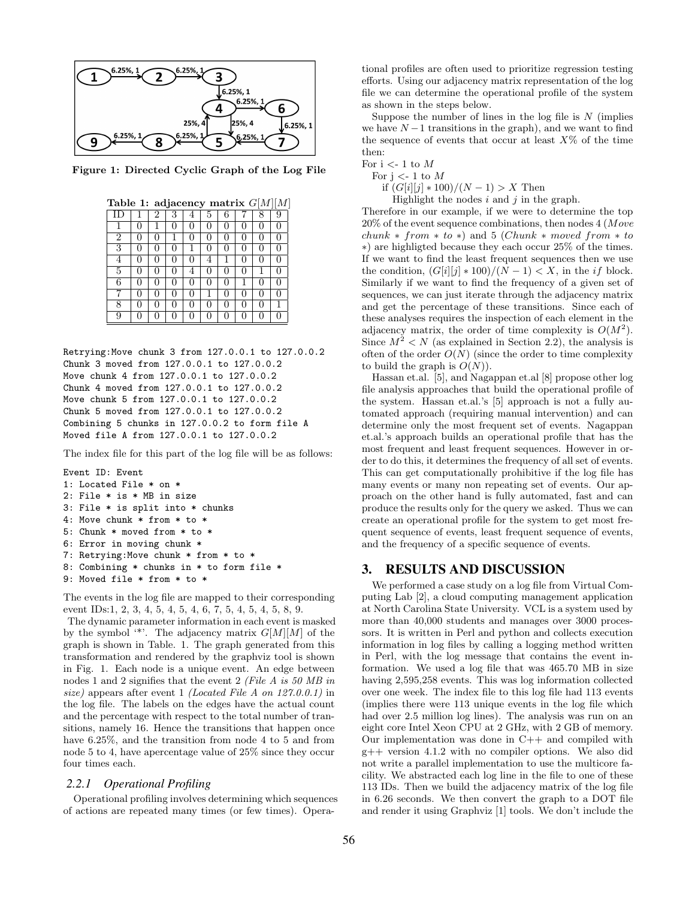

Figure 1: Directed Cyclic Graph of the Log File

| Table 1: adjacency matrix $G[M][M]$ |  |   |  |   |          |  |  |  |   |
|-------------------------------------|--|---|--|---|----------|--|--|--|---|
|                                     |  | 2 |  |   |          |  |  |  |   |
|                                     |  |   |  |   |          |  |  |  |   |
| 2                                   |  |   |  |   |          |  |  |  |   |
| 3                                   |  |   |  |   |          |  |  |  |   |
|                                     |  |   |  |   |          |  |  |  | 0 |
| 5                                   |  |   |  |   |          |  |  |  |   |
| 6                                   |  |   |  |   |          |  |  |  | 0 |
|                                     |  |   |  |   |          |  |  |  | 0 |
| 8                                   |  |   |  |   |          |  |  |  |   |
| 9                                   |  |   |  | 0 | $\Omega$ |  |  |  | 0 |

Retrying:Move chunk 3 from 127.0.0.1 to 127.0.0.2 Chunk 3 moved from 127.0.0.1 to 127.0.0.2 Move chunk 4 from 127.0.0.1 to 127.0.0.2 Chunk 4 moved from 127.0.0.1 to 127.0.0.2 Move chunk 5 from 127.0.0.1 to 127.0.0.2 Chunk 5 moved from 127.0.0.1 to 127.0.0.2 Combining 5 chunks in 127.0.0.2 to form file A Moved file A from 127.0.0.1 to 127.0.0.2

The index file for this part of the log file will be as follows:

```
Event ID: Event
1: Located File * on *
2: File * is * MB in size
3: File * is split into * chunks
4: Move chunk * from * to *
5: Chunk * moved from * to *
6: Error in moving chunk *
7: Retrying:Move chunk * from * to *
8: Combining * chunks in * to form file *
9: Moved file * from * to *
```
The events in the log file are mapped to their corresponding event IDs:1, 2, 3, 4, 5, 4, 5, 4, 6, 7, 5, 4, 5, 4, 5, 8, 9.

The dynamic parameter information in each event is masked by the symbol '\*'. The adjacency matrix  $G[M][M]$  of the graph is shown in Table. 1. The graph generated from this transformation and rendered by the graphviz tool is shown in Fig. 1. Each node is a unique event. An edge between nodes 1 and 2 signifies that the event 2 (File A is 50 MB in size) appears after event 1 (Located File A on 127.0.0.1) in the log file. The labels on the edges have the actual count and the percentage with respect to the total number of transitions, namely 16. Hence the transitions that happen once have 6.25%, and the transition from node 4 to 5 and from node 5 to 4, have apercentage value of 25% since they occur four times each.

#### *2.2.1 Operational Profiling*

Operational profiling involves determining which sequences of actions are repeated many times (or few times). Operational profiles are often used to prioritize regression testing efforts. Using our adjacency matrix representation of the log file we can determine the operational profile of the system as shown in the steps below.

Suppose the number of lines in the log file is  $N$  (implies we have  $N-1$  transitions in the graph), and we want to find the sequence of events that occur at least  $X\%$  of the time then:

For  $i < -1$  to M

For  $j \lt -1$  to M

if  $(G[i][j] * 100)/(N - 1) > X$  Then

Highlight the nodes  $i$  and  $j$  in the graph.

Therefore in our example, if we were to determine the top 20% of the event sequence combinations, then nodes 4 (Move  $chunk * from * to *)$  and 5 (Chunk  $*$  moved from  $*$  to ∗) are highligted because they each occur 25% of the times. If we want to find the least frequent sequences then we use the condition,  $(G[i][j] * 100)/(N - 1) < X$ , in the *if* block. Similarly if we want to find the frequency of a given set of sequences, we can just iterate through the adjacency matrix and get the percentage of these transitions. Since each of these analyses requires the inspection of each element in the adjacency matrix, the order of time complexity is  $O(M^2)$ . Since  $M^2 < N$  (as explained in Section 2.2), the analysis is often of the order  $O(N)$  (since the order to time complexity to build the graph is  $O(N)$ ).

Hassan et.al. [5], and Nagappan et.al [8] propose other log file analysis approaches that build the operational profile of the system. Hassan et.al.'s [5] approach is not a fully automated approach (requiring manual intervention) and can determine only the most frequent set of events. Nagappan et.al.'s approach builds an operational profile that has the most frequent and least frequent sequences. However in order to do this, it determines the frequency of all set of events. This can get computationally prohibitive if the log file has many events or many non repeating set of events. Our approach on the other hand is fully automated, fast and can produce the results only for the query we asked. Thus we can create an operational profile for the system to get most frequent sequence of events, least frequent sequence of events, and the frequency of a specific sequence of events.

#### 3. RESULTS AND DISCUSSION

We performed a case study on a log file from Virtual Computing Lab [2], a cloud computing management application at North Carolina State University. VCL is a system used by more than  $40,000$  students and manages over 3000 processors. It is written in Perl and python and collects execution information in log files by calling a logging method written in Perl, with the log message that contains the event information. We used a log file that was 465.70 MB in size having 2,595,258 events. This was log information collected over one week. The index file to this log file had 113 events (implies there were 113 unique events in the log file which had over 2.5 million log lines). The analysis was run on an eight core Intel Xeon CPU at 2 GHz, with 2 GB of memory. Our implementation was done in  $C++$  and compiled with g++ version 4.1.2 with no compiler options. We also did not write a parallel implementation to use the multicore facility. We abstracted each log line in the file to one of these 113 IDs. Then we build the adjacency matrix of the log file in 6.26 seconds. We then convert the graph to a DOT file and render it using Graphviz [1] tools. We don't include the